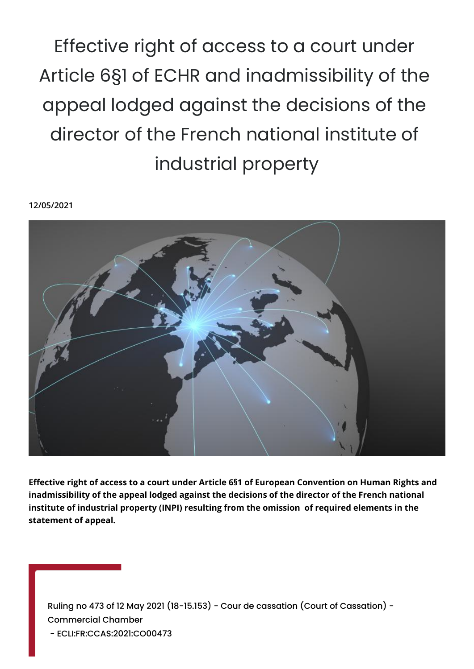Effective right of access to a court under Article 6§1 of ECHR and inadmissibility of the appeal lodged against the decisions of the director of the French national institute of industrial property

**12/05/2021**



**Effective right of access to a court under Article 6§1 of European Convention on Human Rights and inadmissibility of the appeal lodged against the decisions of the director of the French national institute of industrial property (INPI) resulting from the omission of required elements in the statement of appeal.**

Ruling no 473 of 12 May 2021 (18-15.153) - Cour de cassation (Court of Cassation) - Commercial Chamber - ECLI:FR:CCAS:2021:CO00473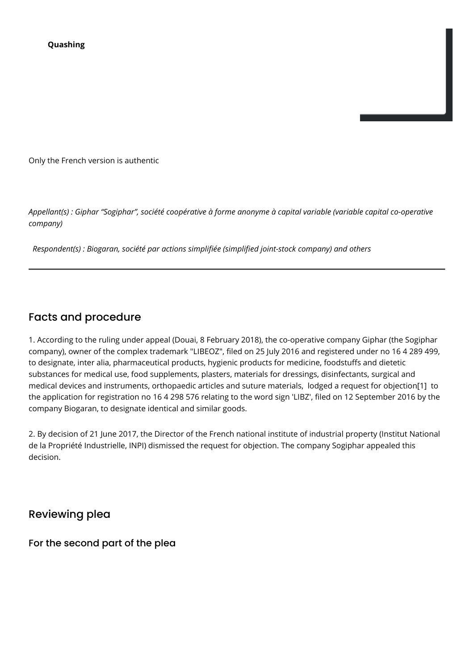Only the French version is authentic

*Appellant(s) : Giphar "Sogiphar", société coopérative à forme anonyme à capital variable (variable capital co-operative company)*

 *Respondent(s) : Biogaran, société par actions simplifiée (simplified joint-stock company) and others*

# Facts and procedure

1. According to the ruling under appeal (Douai, 8 February 2018), the co-operative company Giphar (the Sogiphar company), owner of the complex trademark "LIBEOZ", filed on 25 July 2016 and registered under no 16 4 289 499, to designate, inter alia, pharmaceutical products, hygienic products for medicine, foodstuffs and dietetic substances for medical use, food supplements, plasters, materials for dressings, disinfectants, surgical and medical devices and instruments, orthopaedic articles and suture materials, lodged a request for objection[1] to the application for registration no 16 4 298 576 relating to the word sign 'LIBZ', filed on 12 September 2016 by the company Biogaran, to designate identical and similar goods.

2. By decision of 21 June 2017, the Director of the French national institute of industrial property (Institut National de la Propriété Industrielle, INPI) dismissed the request for objection. The company Sogiphar appealed this decision.

Reviewing plea

For the second part of the plea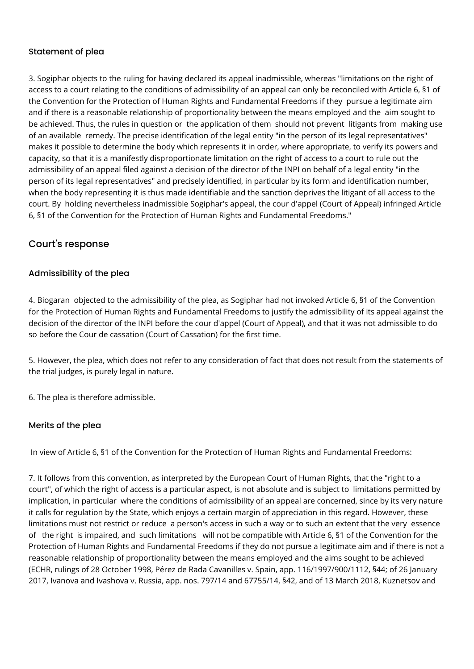## Statement of plea

3. Sogiphar objects to the ruling for having declared its appeal inadmissible, whereas "limitations on the right of access to a court relating to the conditions of admissibility of an appeal can only be reconciled with Article 6, §1 of the Convention for the Protection of Human Rights and Fundamental Freedoms if they pursue a legitimate aim and if there is a reasonable relationship of proportionality between the means employed and the aim sought to be achieved. Thus, the rules in question or the application of them should not prevent litigants from making use of an available remedy. The precise identification of the legal entity "in the person of its legal representatives" makes it possible to determine the body which represents it in order, where appropriate, to verify its powers and capacity, so that it is a manifestly disproportionate limitation on the right of access to a court to rule out the admissibility of an appeal filed against a decision of the director of the INPI on behalf of a legal entity "in the person of its legal representatives" and precisely identified, in particular by its form and identification number, when the body representing it is thus made identifiable and the sanction deprives the litigant of all access to the court. By holding nevertheless inadmissible Sogiphar's appeal, the cour d'appel (Court of Appeal) infringed Article 6, §1 of the Convention for the Protection of Human Rights and Fundamental Freedoms."

## Court's response

## Admissibility of the plea

4. Biogaran objected to the admissibility of the plea, as Sogiphar had not invoked Article 6, §1 of the Convention for the Protection of Human Rights and Fundamental Freedoms to justify the admissibility of its appeal against the decision of the director of the INPI before the cour d'appel (Court of Appeal), and that it was not admissible to do so before the Cour de cassation (Court of Cassation) for the first time.

5. However, the plea, which does not refer to any consideration of fact that does not result from the statements of the trial judges, is purely legal in nature.

6. The plea is therefore admissible.

#### Merits of the plea

In view of Article 6, §1 of the Convention for the Protection of Human Rights and Fundamental Freedoms:

7. It follows from this convention, as interpreted by the European Court of Human Rights, that the "right to a court", of which the right of access is a particular aspect, is not absolute and is subject to limitations permitted by implication, in particular where the conditions of admissibility of an appeal are concerned, since by its very nature it calls for regulation by the State, which enjoys a certain margin of appreciation in this regard. However, these limitations must not restrict or reduce a person's access in such a way or to such an extent that the very essence of the right is impaired, and such limitations will not be compatible with Article 6, §1 of the Convention for the Protection of Human Rights and Fundamental Freedoms if they do not pursue a legitimate aim and if there is not a reasonable relationship of proportionality between the means employed and the aims sought to be achieved (ECHR, rulings of 28 October 1998, Pérez de Rada Cavanilles v. Spain, app. 116/1997/900/1112, §44; of 26 January 2017, Ivanova and Ivashova v. Russia, app. nos. 797/14 and 67755/14, §42, and of 13 March 2018, Kuznetsov and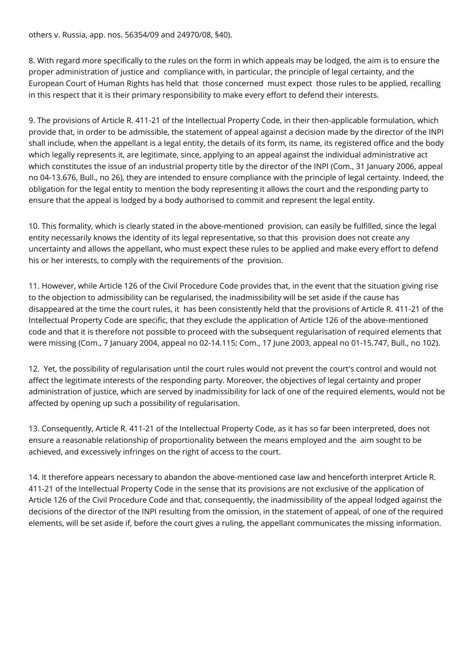others v. Russia, app. nos. 56354/09 and 24970/08, §40).

8. With regard more specifically to the rules on the form in which appeals may be lodged, the aim is to ensure the proper administration of justice and compliance with, in particular, the principle of legal certainty, and the European Court of Human Rights has held that those concerned must expect those rules to be applied, recalling in this respect that it is their primary responsibility to make every effort to defend their interests.

9. The provisions of Article R. 411-21 of the Intellectual Property Code, in their then-applicable formulation, which provide that, in order to be admissible, the statement of appeal against a decision made by the director of the INPI shall include, when the appellant is a legal entity, the details of its form, its name, its registered office and the body which legally represents it, are legitimate, since, applying to an appeal against the individual administrative act which constitutes the issue of an industrial property title by the director of the INPI (Com., 31 January 2006, appeal no 04-13.676, Bull., no 26), they are intended to ensure compliance with the principle of legal certainty. Indeed, the obligation for the legal entity to mention the body representing it allows the court and the responding party to ensure that the appeal is lodged by a body authorised to commit and represent the legal entity.

10. This formality, which is clearly stated in the above-mentioned provision, can easily be fulfilled, since the legal entity necessarily knows the identity of its legal representative, so that this provision does not create any uncertainty and allows the appellant, who must expect these rules to be applied and make every effort to defend his or her interests, to comply with the requirements of the provision.

11. However, while Article 126 of the Civil Procedure Code provides that, in the event that the situation giving rise to the objection to admissibility can be regularised, the inadmissibility will be set aside if the cause has disappeared at the time the court rules, it has been consistently held that the provisions of Article R. 411-21 of the Intellectual Property Code are specific, that they exclude the application of Article 126 of the above-mentioned code and that it is therefore not possible to proceed with the subsequent regularisation of required elements that were missing (Com., 7 January 2004, appeal no 02-14.115; Com., 17 June 2003, appeal no 01-15.747, Bull., no 102).

12. Yet, the possibility of regularisation until the court rules would not prevent the court's control and would not affect the legitimate interests of the responding party. Moreover, the objectives of legal certainty and proper administration of justice, which are served by inadmissibility for lack of one of the required elements, would not be affected by opening up such a possibility of regularisation.

13. Consequently, Article R. 411-21 of the Intellectual Property Code, as it has so far been interpreted, does not ensure a reasonable relationship of proportionality between the means employed and the aim sought to be achieved, and excessively infringes on the right of access to the court.

14. It therefore appears necessary to abandon the above-mentioned case law and henceforth interpret Article R. 411-21 of the Intellectual Property Code in the sense that its provisions are not exclusive of the application of Article 126 of the Civil Procedure Code and that, consequently, the inadmissibility of the appeal lodged against the decisions of the director of the INPI resulting from the omission, in the statement of appeal, of one of the required elements, will be set aside if, before the court gives a ruling, the appellant communicates the missing information.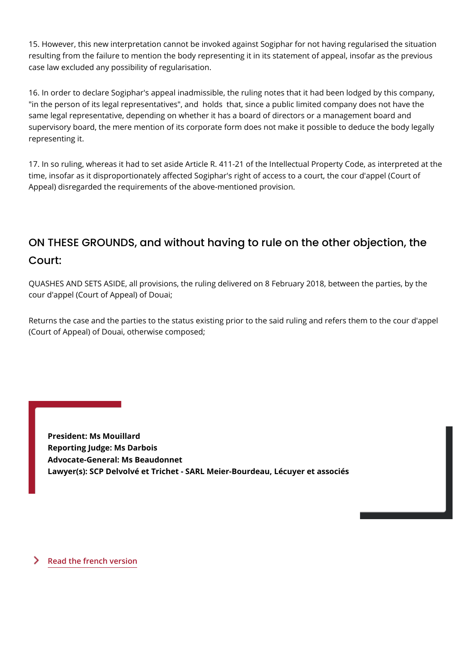15. However, this new interpretation cannot be invoked against Sogiphar for no resulting from the failure to mention the body representing it in its statement o case law excluded any possibility of regularisation.

16. In order to declare Sogiphar's appeal inadmissible, the ruling notes that it "in the person of its legal representatives", and holds that, since a public lim same legal representative, depending on whether it has a board of directors or supervisory board, the mere mention of its corporate form does not make it pos representing it.

17. In so ruling, whereas it had to set aside Article R. 411-21 of the Intellectua time, insofar as it disproportionately affected Sogiphar's right of access to a co Appeal) disregarded the requirements of the above-mentioned provision.

ON THESE GROUNDS, and without having to rule on the o Court:

QUASHES AND SETS ASIDE, all provisions, the ruling delivered on 8 February 2 cour d'appel (Court of Appeal) of Douai;

Returns the case and the parties to the status existing prior to the said ruling a (Court of Appeal) of Douai, otherwise composed;

President: Ms Mouillard Reporting Judge: Ms Darbois Advocate-General: Ms Beaudonnet Lawyer(s): SCP Delvolvé et Trichet - SARL Meier-Bourdeau, Lécuyer et asso

[Read the french](https://www.courdecassation.fr/decision/609b6f8cb58b513522af1e7f?search_api_fulltext=1815153) version